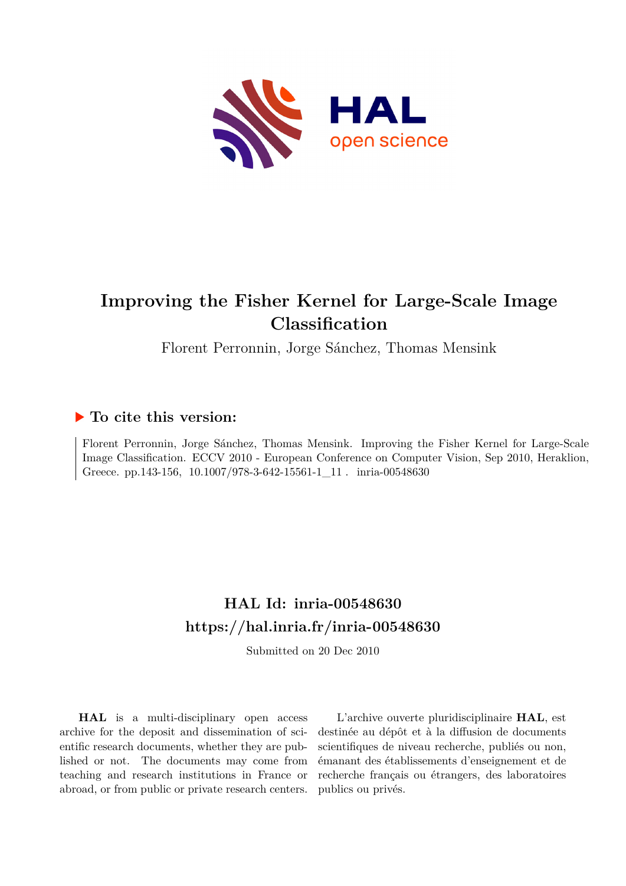

# **Improving the Fisher Kernel for Large-Scale Image Classification**

Florent Perronnin, Jorge Sánchez, Thomas Mensink

# **To cite this version:**

Florent Perronnin, Jorge Sánchez, Thomas Mensink. Improving the Fisher Kernel for Large-Scale Image Classification. ECCV 2010 - European Conference on Computer Vision, Sep 2010, Heraklion, Greece. pp.143-156,  $10.1007/978-3-642-15561-1\_11$ . inria-00548630

# **HAL Id: inria-00548630 <https://hal.inria.fr/inria-00548630>**

Submitted on 20 Dec 2010

**HAL** is a multi-disciplinary open access archive for the deposit and dissemination of scientific research documents, whether they are published or not. The documents may come from teaching and research institutions in France or abroad, or from public or private research centers.

L'archive ouverte pluridisciplinaire **HAL**, est destinée au dépôt et à la diffusion de documents scientifiques de niveau recherche, publiés ou non, émanant des établissements d'enseignement et de recherche français ou étrangers, des laboratoires publics ou privés.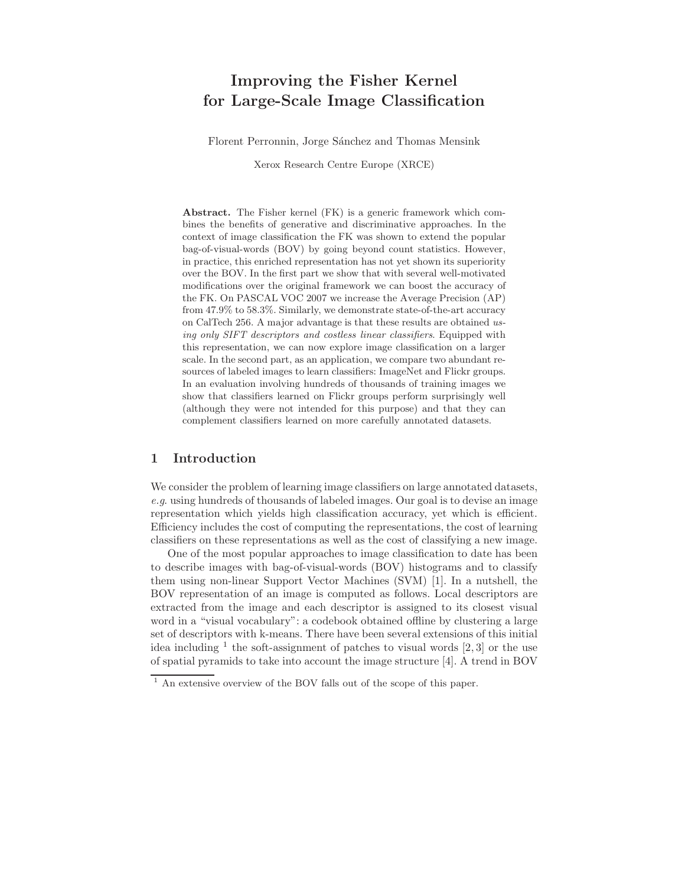# Improving the Fisher Kernel for Large-Scale Image Classification

Florent Perronnin, Jorge Sánchez and Thomas Mensink

Xerox Research Centre Europe (XRCE)

Abstract. The Fisher kernel (FK) is a generic framework which combines the benefits of generative and discriminative approaches. In the context of image classification the FK was shown to extend the popular bag-of-visual-words (BOV) by going beyond count statistics. However, in practice, this enriched representation has not yet shown its superiority over the BOV. In the first part we show that with several well-motivated modifications over the original framework we can boost the accuracy of the FK. On PASCAL VOC 2007 we increase the Average Precision (AP) from 47.9% to 58.3%. Similarly, we demonstrate state-of-the-art accuracy on CalTech 256. A major advantage is that these results are obtained using only SIFT descriptors and costless linear classifiers. Equipped with this representation, we can now explore image classification on a larger scale. In the second part, as an application, we compare two abundant resources of labeled images to learn classifiers: ImageNet and Flickr groups. In an evaluation involving hundreds of thousands of training images we show that classifiers learned on Flickr groups perform surprisingly well (although they were not intended for this purpose) and that they can complement classifiers learned on more carefully annotated datasets.

# 1 Introduction

We consider the problem of learning image classifiers on large annotated datasets, e.g. using hundreds of thousands of labeled images. Our goal is to devise an image representation which yields high classification accuracy, yet which is efficient. Efficiency includes the cost of computing the representations, the cost of learning classifiers on these representations as well as the cost of classifying a new image.

One of the most popular approaches to image classification to date has been to describe images with bag-of-visual-words (BOV) histograms and to classify them using non-linear Support Vector Machines (SVM) [1]. In a nutshell, the BOV representation of an image is computed as follows. Local descriptors are extracted from the image and each descriptor is assigned to its closest visual word in a "visual vocabulary": a codebook obtained offline by clustering a large set of descriptors with k-means. There have been several extensions of this initial idea including  $1$  the soft-assignment of patches to visual words [2, 3] or the use of spatial pyramids to take into account the image structure [4]. A trend in BOV

<sup>1</sup> An extensive overview of the BOV falls out of the scope of this paper.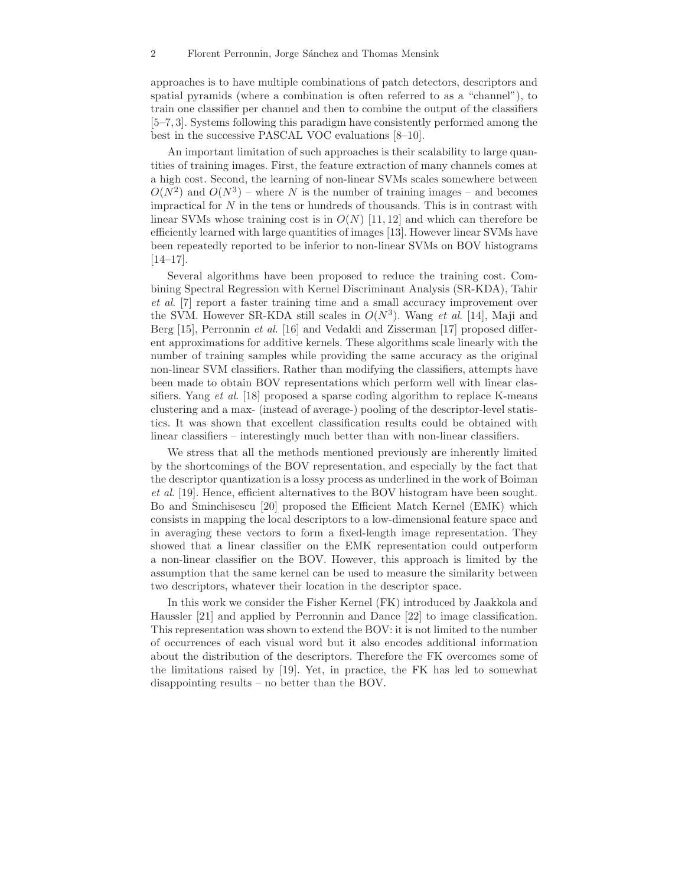approaches is to have multiple combinations of patch detectors, descriptors and spatial pyramids (where a combination is often referred to as a "channel"), to train one classifier per channel and then to combine the output of the classifiers [5–7, 3]. Systems following this paradigm have consistently performed among the best in the successive PASCAL VOC evaluations [8–10].

An important limitation of such approaches is their scalability to large quantities of training images. First, the feature extraction of many channels comes at a high cost. Second, the learning of non-linear SVMs scales somewhere between  $O(N^2)$  and  $O(N^3)$  – where N is the number of training images – and becomes impractical for  $N$  in the tens or hundreds of thousands. This is in contrast with linear SVMs whose training cost is in  $O(N)$  [11, 12] and which can therefore be efficiently learned with large quantities of images [13]. However linear SVMs have been repeatedly reported to be inferior to non-linear SVMs on BOV histograms [14–17].

Several algorithms have been proposed to reduce the training cost. Combining Spectral Regression with Kernel Discriminant Analysis (SR-KDA), Tahir et al. [7] report a faster training time and a small accuracy improvement over the SVM. However SR-KDA still scales in  $O(N^3)$ . Wang et al. [14], Maji and Berg [15], Perronnin *et al.* [16] and Vedaldi and Zisserman [17] proposed different approximations for additive kernels. These algorithms scale linearly with the number of training samples while providing the same accuracy as the original non-linear SVM classifiers. Rather than modifying the classifiers, attempts have been made to obtain BOV representations which perform well with linear classifiers. Yang *et al.* [18] proposed a sparse coding algorithm to replace K-means clustering and a max- (instead of average-) pooling of the descriptor-level statistics. It was shown that excellent classification results could be obtained with linear classifiers – interestingly much better than with non-linear classifiers.

We stress that all the methods mentioned previously are inherently limited by the shortcomings of the BOV representation, and especially by the fact that the descriptor quantization is a lossy process as underlined in the work of Boiman et al. [19]. Hence, efficient alternatives to the BOV histogram have been sought. Bo and Sminchisescu [20] proposed the Efficient Match Kernel (EMK) which consists in mapping the local descriptors to a low-dimensional feature space and in averaging these vectors to form a fixed-length image representation. They showed that a linear classifier on the EMK representation could outperform a non-linear classifier on the BOV. However, this approach is limited by the assumption that the same kernel can be used to measure the similarity between two descriptors, whatever their location in the descriptor space.

In this work we consider the Fisher Kernel (FK) introduced by Jaakkola and Haussler [21] and applied by Perronnin and Dance [22] to image classification. This representation was shown to extend the BOV: it is not limited to the number of occurrences of each visual word but it also encodes additional information about the distribution of the descriptors. Therefore the FK overcomes some of the limitations raised by [19]. Yet, in practice, the FK has led to somewhat disappointing results – no better than the BOV.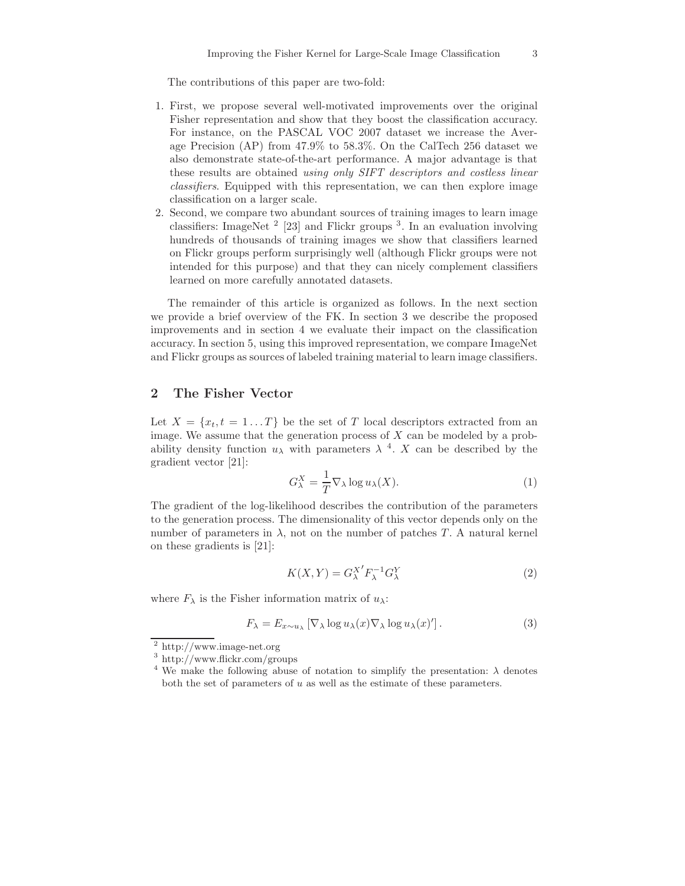The contributions of this paper are two-fold:

- 1. First, we propose several well-motivated improvements over the original Fisher representation and show that they boost the classification accuracy. For instance, on the PASCAL VOC 2007 dataset we increase the Average Precision (AP) from 47.9% to 58.3%. On the CalTech 256 dataset we also demonstrate state-of-the-art performance. A major advantage is that these results are obtained using only SIFT descriptors and costless linear classifiers. Equipped with this representation, we can then explore image classification on a larger scale.
- 2. Second, we compare two abundant sources of training images to learn image classifiers: ImageNet<sup>2</sup> [23] and Flickr groups<sup>3</sup>. In an evaluation involving hundreds of thousands of training images we show that classifiers learned on Flickr groups perform surprisingly well (although Flickr groups were not intended for this purpose) and that they can nicely complement classifiers learned on more carefully annotated datasets.

The remainder of this article is organized as follows. In the next section we provide a brief overview of the FK. In section 3 we describe the proposed improvements and in section 4 we evaluate their impact on the classification accuracy. In section 5, using this improved representation, we compare ImageNet and Flickr groups as sources of labeled training material to learn image classifiers.

# 2 The Fisher Vector

Let  $X = \{x_t, t = 1 \dots T\}$  be the set of T local descriptors extracted from an image. We assume that the generation process of  $X$  can be modeled by a probability density function  $u_{\lambda}$  with parameters  $\lambda^{4}$ . X can be described by the gradient vector [21]:

$$
G_{\lambda}^{X} = \frac{1}{T} \nabla_{\lambda} \log u_{\lambda}(X). \tag{1}
$$

The gradient of the log-likelihood describes the contribution of the parameters to the generation process. The dimensionality of this vector depends only on the number of parameters in  $\lambda$ , not on the number of patches T. A natural kernel on these gradients is [21]:

$$
K(X,Y) = G_{\lambda}^{X'} F_{\lambda}^{-1} G_{\lambda}^{Y}
$$
\n(2)

where  $F_{\lambda}$  is the Fisher information matrix of  $u_{\lambda}$ :

$$
F_{\lambda} = E_{x \sim u_{\lambda}} \left[ \nabla_{\lambda} \log u_{\lambda}(x) \nabla_{\lambda} \log u_{\lambda}(x)' \right]. \tag{3}
$$

<sup>2</sup> http://www.image-net.org

<sup>3</sup> http://www.flickr.com/groups

<sup>&</sup>lt;sup>4</sup> We make the following abuse of notation to simplify the presentation:  $\lambda$  denotes both the set of parameters of  $u$  as well as the estimate of these parameters.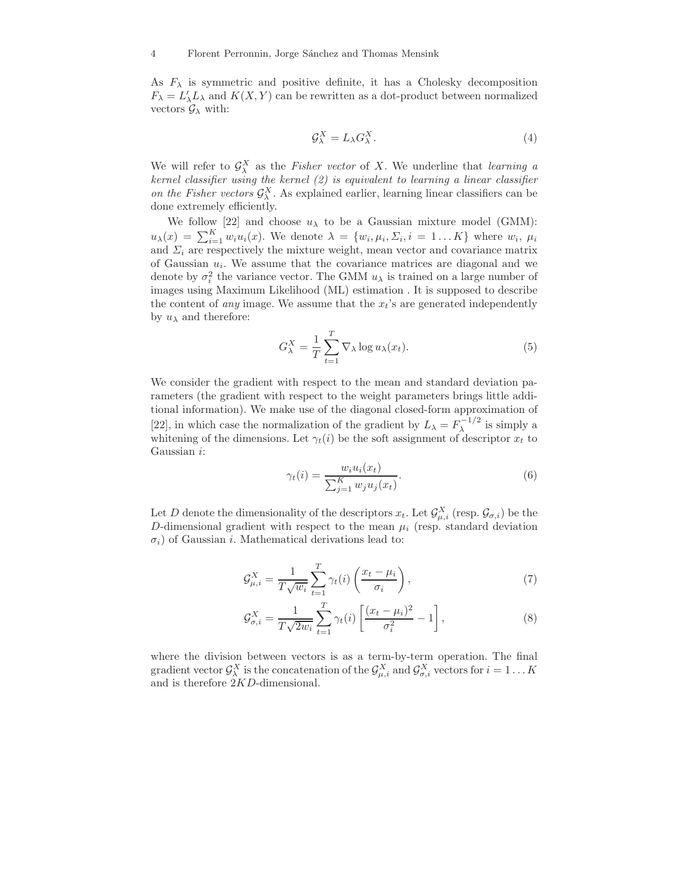As  $F_{\lambda}$  is symmetric and positive definite, it has a Cholesky decomposition  $F_{\lambda} = L'_{\lambda} L_{\lambda}$  and  $K(X, Y)$  can be rewritten as a dot-product between normalized vectors  $\mathcal{G}_{\lambda}$  with:

$$
\mathcal{G}_{\lambda}^{X} = L_{\lambda} G_{\lambda}^{X}.
$$
\n
$$
(4)
$$

We will refer to  $\mathcal{G}_{\lambda}^{X}$  as the *Fisher vector* of X. We underline that *learning* a kernel classifier using the kernel (2) is equivalent to learning a linear classifier on the Fisher vectors  $\mathcal{G}_{\lambda}^{X}$ . As explained earlier, learning linear classifiers can be done extremely efficiently.

We follow [22] and choose  $u_{\lambda}$  to be a Gaussian mixture model (GMM):  $u_{\lambda}(x) = \sum_{i=1}^{K} w_i u_i(x)$ . We denote  $\lambda = \{w_i, \mu_i, \Sigma_i, i = 1...K\}$  where  $w_i$ ,  $\mu_i$ and  $\Sigma_i$  are respectively the mixture weight, mean vector and covariance matrix of Gaussian  $u_i$ . We assume that the covariance matrices are diagonal and we denote by  $\sigma_i^2$  the variance vector. The GMM  $u_\lambda$  is trained on a large number of images using Maximum Likelihood (ML) estimation . It is supposed to describe the content of *any* image. We assume that the  $x_t$ 's are generated independently by  $u_{\lambda}$  and therefore:

$$
G_{\lambda}^{X} = \frac{1}{T} \sum_{t=1}^{T} \nabla_{\lambda} \log u_{\lambda}(x_t).
$$
 (5)

We consider the gradient with respect to the mean and standard deviation parameters (the gradient with respect to the weight parameters brings little additional information). We make use of the diagonal closed-form approximation of [22], in which case the normalization of the gradient by  $L_{\lambda} = F_{\lambda}^{-1/2}$  $\lambda$ <sup> $\lambda$ </sup> is simply a whitening of the dimensions. Let  $\gamma_t(i)$  be the soft assignment of descriptor  $x_t$  to Gaussian i:

$$
\gamma_t(i) = \frac{w_i u_i(x_t)}{\sum_{j=1}^K w_j u_j(x_t)}.\tag{6}
$$

Let D denote the dimensionality of the descriptors  $x_t$ . Let  $\mathcal{G}_{\mu,i}^X$  (resp.  $\mathcal{G}_{\sigma,i}$ ) be the D-dimensional gradient with respect to the mean  $\mu_i$  (resp. standard deviation  $\sigma_i$ ) of Gaussian *i*. Mathematical derivations lead to:

$$
\mathcal{G}_{\mu,i}^X = \frac{1}{T\sqrt{w_i}} \sum_{t=1}^T \gamma_t(i) \left( \frac{x_t - \mu_i}{\sigma_i} \right),\tag{7}
$$

$$
\mathcal{G}_{\sigma,i}^{X} = \frac{1}{T\sqrt{2w_i}} \sum_{t=1}^{T} \gamma_t(i) \left[ \frac{(x_t - \mu_i)^2}{\sigma_i^2} - 1 \right],
$$
\n(8)

where the division between vectors is as a term-by-term operation. The final gradient vector  $\mathcal{G}_{\lambda}^X$  is the concatenation of the  $\mathcal{G}_{\mu,i}^X$  and  $\mathcal{G}_{\sigma,i}^X$  vectors for  $i = 1 \dots K$ and is therefore 2KD-dimensional.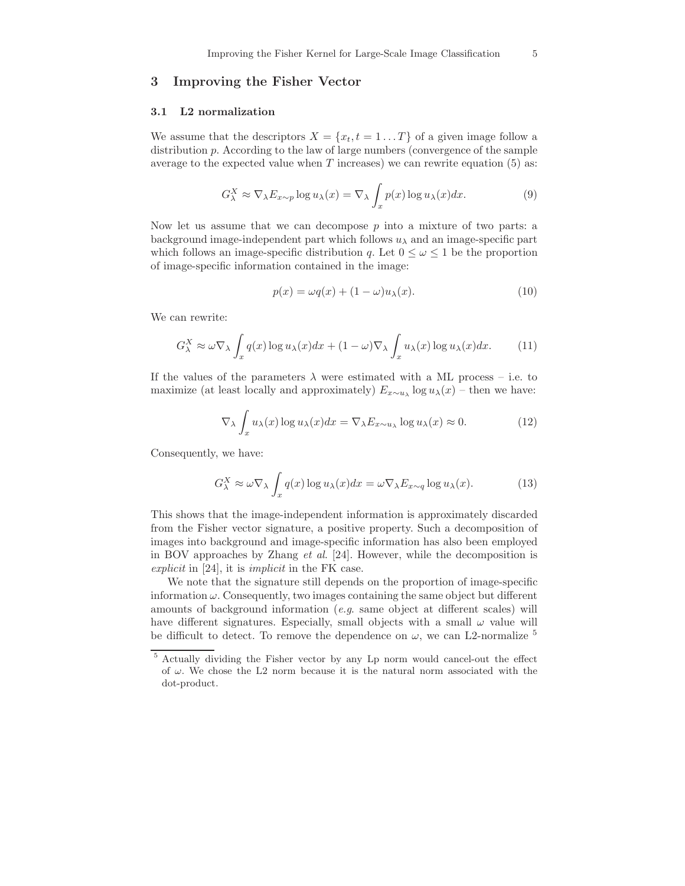# 3 Improving the Fisher Vector

#### 3.1 L2 normalization

We assume that the descriptors  $X = \{x_t, t = 1 \dots T\}$  of a given image follow a distribution p. According to the law of large numbers (convergence of the sample average to the expected value when  $T$  increases) we can rewrite equation (5) as:

$$
G_{\lambda}^{X} \approx \nabla_{\lambda} E_{x \sim p} \log u_{\lambda}(x) = \nabla_{\lambda} \int_{x} p(x) \log u_{\lambda}(x) dx.
$$
 (9)

Now let us assume that we can decompose  $p$  into a mixture of two parts: a background image-independent part which follows  $u_{\lambda}$  and an image-specific part which follows an image-specific distribution q. Let  $0 \leq \omega \leq 1$  be the proportion of image-specific information contained in the image:

$$
p(x) = \omega q(x) + (1 - \omega)u_{\lambda}(x).
$$
 (10)

We can rewrite:

$$
G_{\lambda}^{X} \approx \omega \nabla_{\lambda} \int_{x} q(x) \log u_{\lambda}(x) dx + (1 - \omega) \nabla_{\lambda} \int_{x} u_{\lambda}(x) \log u_{\lambda}(x) dx.
$$
 (11)

If the values of the parameters  $\lambda$  were estimated with a ML process – i.e. to maximize (at least locally and approximately)  $E_{x \sim u_\lambda} \log u_\lambda(x)$  – then we have:

$$
\nabla_{\lambda} \int_{x} u_{\lambda}(x) \log u_{\lambda}(x) dx = \nabla_{\lambda} E_{x \sim u_{\lambda}} \log u_{\lambda}(x) \approx 0.
$$
 (12)

Consequently, we have:

$$
G_{\lambda}^{X} \approx \omega \nabla_{\lambda} \int_{x} q(x) \log u_{\lambda}(x) dx = \omega \nabla_{\lambda} E_{x \sim q} \log u_{\lambda}(x).
$$
 (13)

This shows that the image-independent information is approximately discarded from the Fisher vector signature, a positive property. Such a decomposition of images into background and image-specific information has also been employed in BOV approaches by Zhang  $et \ al.$  [24]. However, while the decomposition is explicit in [24], it is implicit in the FK case.

We note that the signature still depends on the proportion of image-specific information  $\omega$ . Consequently, two images containing the same object but different amounts of background information (e.g. same object at different scales) will have different signatures. Especially, small objects with a small  $\omega$  value will be difficult to detect. To remove the dependence on  $\omega$ , we can L2-normalize  $^5$ 

<sup>5</sup> Actually dividing the Fisher vector by any Lp norm would cancel-out the effect of  $\omega$ . We chose the L2 norm because it is the natural norm associated with the dot-product.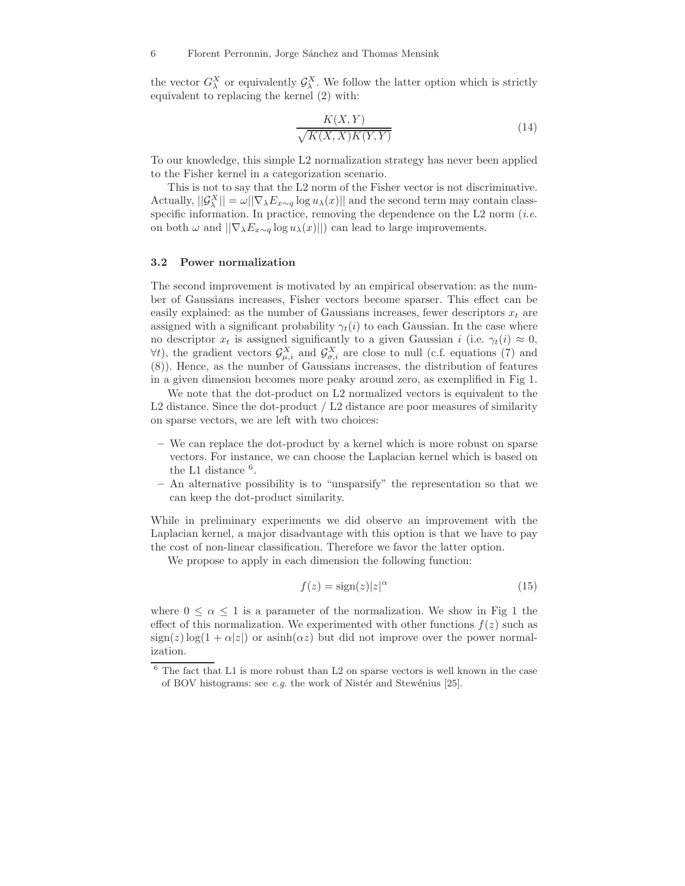the vector  $G_{\lambda}^{X}$  or equivalently  $\mathcal{G}_{\lambda}^{X}$ . We follow the latter option which is strictly equivalent to replacing the kernel (2) with:

$$
\frac{K(X,Y)}{\sqrt{K(X,X)K(Y,Y)}}
$$
\n(14)

To our knowledge, this simple L2 normalization strategy has never been applied to the Fisher kernel in a categorization scenario.

This is not to say that the L2 norm of the Fisher vector is not discriminative. Actually,  $||\mathcal{G}_{\lambda}^X|| = \omega||\nabla_{\lambda} E_{x \sim q} \log u_{\lambda}(x)||$  and the second term may contain classspecific information. In practice, removing the dependence on the L2 norm  $(i.e.$ on both  $\omega$  and  $||\nabla_{\lambda} E_{x \sim q} \log u_{\lambda}(x)||$  can lead to large improvements.

#### 3.2 Power normalization

The second improvement is motivated by an empirical observation: as the number of Gaussians increases, Fisher vectors become sparser. This effect can be easily explained: as the number of Gaussians increases, fewer descriptors  $x_t$  are assigned with a significant probability  $\gamma_t(i)$  to each Gaussian. In the case where no descriptor  $x_t$  is assigned significantly to a given Gaussian i (i.e.  $\gamma_t(i) \approx 0$ ,  $\forall t$ , the gradient vectors  $\mathcal{G}_{\mu,i}^X$  and  $\mathcal{G}_{\sigma,i}^X$  are close to null (c.f. equations (7) and (8)). Hence, as the number of Gaussians increases, the distribution of features in a given dimension becomes more peaky around zero, as exemplified in Fig 1.

We note that the dot-product on L2 normalized vectors is equivalent to the L2 distance. Since the dot-product / L2 distance are poor measures of similarity on sparse vectors, we are left with two choices:

- We can replace the dot-product by a kernel which is more robust on sparse vectors. For instance, we can choose the Laplacian kernel which is based on the L1 distance  $6$ .
- An alternative possibility is to "unsparsify" the representation so that we can keep the dot-product similarity.

While in preliminary experiments we did observe an improvement with the Laplacian kernel, a major disadvantage with this option is that we have to pay the cost of non-linear classification. Therefore we favor the latter option.

We propose to apply in each dimension the following function:

$$
f(z) = \text{sign}(z)|z|^{\alpha} \tag{15}
$$

where  $0 \leq \alpha \leq 1$  is a parameter of the normalization. We show in Fig 1 the effect of this normalization. We experimented with other functions  $f(z)$  such as  $sign(z) log(1 + \alpha |z|)$  or  $asin(\alpha z)$  but did not improve over the power normalization.

 $6$  The fact that L1 is more robust than L2 on sparse vectors is well known in the case of BOV histograms: see  $e.g.$  the work of Nistér and Stewénius [25].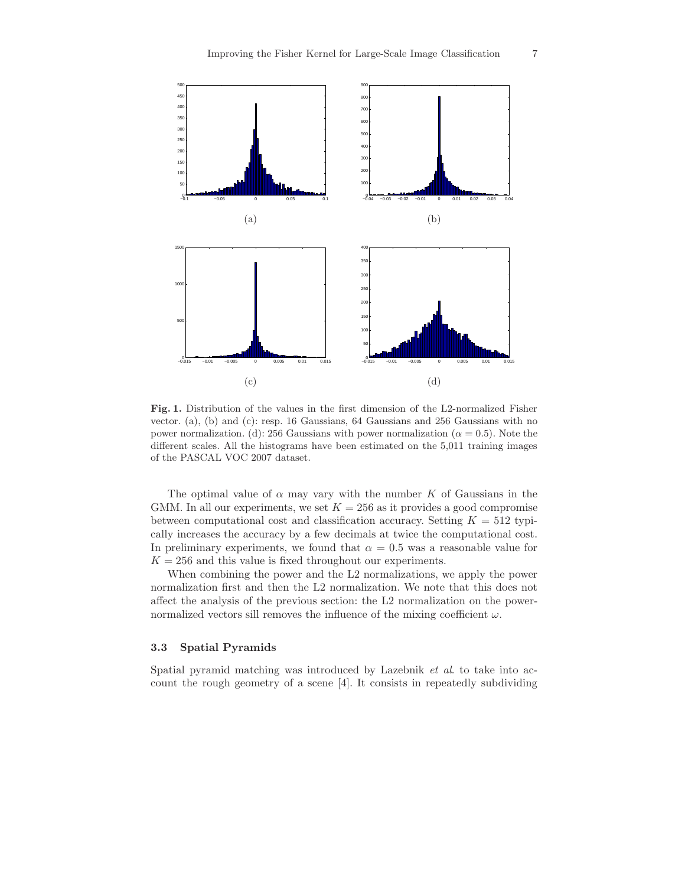

Fig. 1. Distribution of the values in the first dimension of the L2-normalized Fisher vector. (a), (b) and (c): resp. 16 Gaussians, 64 Gaussians and 256 Gaussians with no power normalization. (d): 256 Gaussians with power normalization ( $\alpha = 0.5$ ). Note the different scales. All the histograms have been estimated on the 5,011 training images of the PASCAL VOC 2007 dataset.

The optimal value of  $\alpha$  may vary with the number K of Gaussians in the GMM. In all our experiments, we set  $K = 256$  as it provides a good compromise between computational cost and classification accuracy. Setting  $K = 512$  typically increases the accuracy by a few decimals at twice the computational cost. In preliminary experiments, we found that  $\alpha = 0.5$  was a reasonable value for  $K = 256$  and this value is fixed throughout our experiments.

When combining the power and the L2 normalizations, we apply the power normalization first and then the L2 normalization. We note that this does not affect the analysis of the previous section: the L2 normalization on the powernormalized vectors sill removes the influence of the mixing coefficient  $\omega$ .

#### 3.3 Spatial Pyramids

Spatial pyramid matching was introduced by Lazebnik et al. to take into account the rough geometry of a scene [4]. It consists in repeatedly subdividing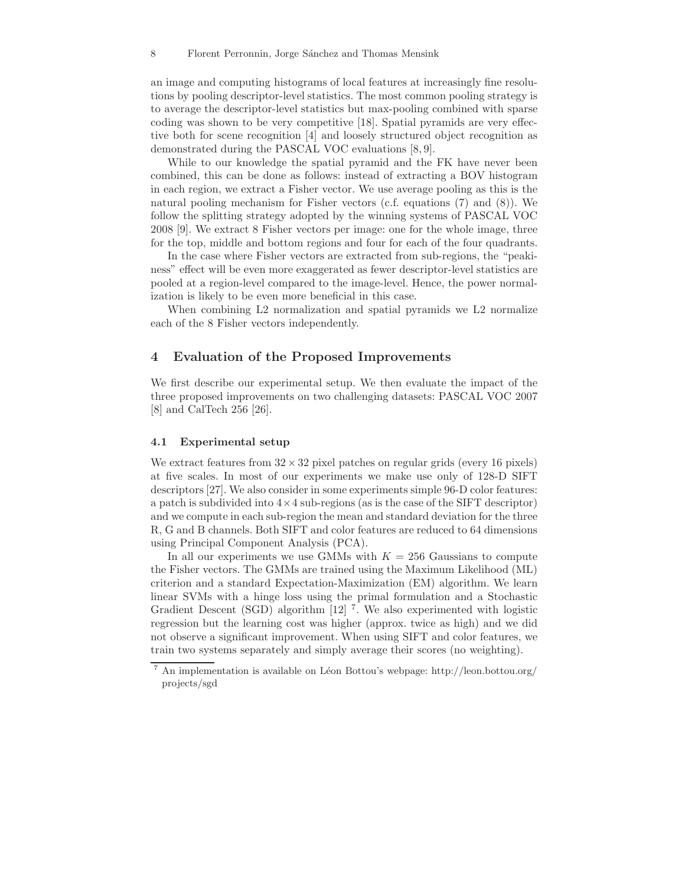an image and computing histograms of local features at increasingly fine resolutions by pooling descriptor-level statistics. The most common pooling strategy is to average the descriptor-level statistics but max-pooling combined with sparse coding was shown to be very competitive [18]. Spatial pyramids are very effective both for scene recognition [4] and loosely structured object recognition as demonstrated during the PASCAL VOC evaluations [8, 9].

While to our knowledge the spatial pyramid and the FK have never been combined, this can be done as follows: instead of extracting a BOV histogram in each region, we extract a Fisher vector. We use average pooling as this is the natural pooling mechanism for Fisher vectors (c.f. equations (7) and (8)). We follow the splitting strategy adopted by the winning systems of PASCAL VOC 2008 [9]. We extract 8 Fisher vectors per image: one for the whole image, three for the top, middle and bottom regions and four for each of the four quadrants.

In the case where Fisher vectors are extracted from sub-regions, the "peakiness" effect will be even more exaggerated as fewer descriptor-level statistics are pooled at a region-level compared to the image-level. Hence, the power normalization is likely to be even more beneficial in this case.

When combining L<sub>2</sub> normalization and spatial pyramids we L<sub>2</sub> normalize each of the 8 Fisher vectors independently.

# 4 Evaluation of the Proposed Improvements

We first describe our experimental setup. We then evaluate the impact of the three proposed improvements on two challenging datasets: PASCAL VOC 2007 [8] and CalTech 256 [26].

#### 4.1 Experimental setup

We extract features from  $32 \times 32$  pixel patches on regular grids (every 16 pixels) at five scales. In most of our experiments we make use only of 128-D SIFT descriptors [27]. We also consider in some experiments simple 96-D color features: a patch is subdivided into  $4 \times 4$  sub-regions (as is the case of the SIFT descriptor) and we compute in each sub-region the mean and standard deviation for the three R, G and B channels. Both SIFT and color features are reduced to 64 dimensions using Principal Component Analysis (PCA).

In all our experiments we use GMMs with  $K = 256$  Gaussians to compute the Fisher vectors. The GMMs are trained using the Maximum Likelihood (ML) criterion and a standard Expectation-Maximization (EM) algorithm. We learn linear SVMs with a hinge loss using the primal formulation and a Stochastic Gradient Descent  $(SGD)$  algorithm  $[12]$ <sup>7</sup>. We also experimented with logistic regression but the learning cost was higher (approx. twice as high) and we did not observe a significant improvement. When using SIFT and color features, we train two systems separately and simply average their scores (no weighting).

 $7$  An implementation is available on Léon Bottou's webpage: http://leon.bottou.org/ projects/sgd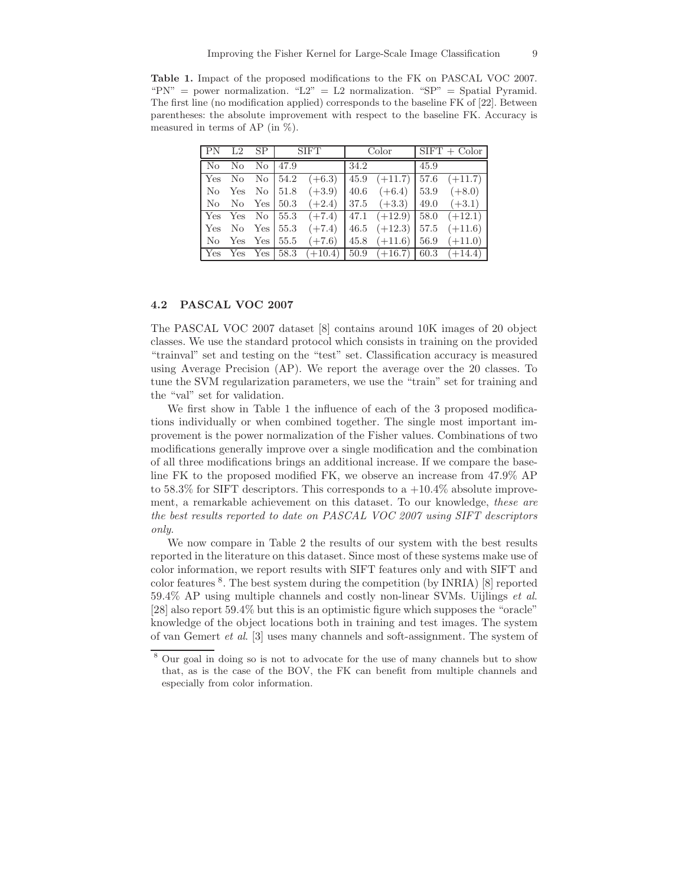Table 1. Impact of the proposed modifications to the FK on PASCAL VOC 2007. "PN" = power normalization. "L2" = L2 normalization. "SP" = Spatial Pyramid. The first line (no modification applied) corresponds to the baseline FK of [22]. Between parentheses: the absolute improvement with respect to the baseline FK. Accuracy is measured in terms of AP (in %).

|  | IPN L2 SP SIFT        |  | Color |                                                                                                                                                               | $SIFT + Color$ |  |
|--|-----------------------|--|-------|---------------------------------------------------------------------------------------------------------------------------------------------------------------|----------------|--|
|  | $\sqrt{N_0 N_0 47.9}$ |  | 34.2  |                                                                                                                                                               | 45.9           |  |
|  | Yes No No $54.2$      |  |       | $(+6.3)$   45.9 $(+11.7)$   57.6 $(+11.7)$                                                                                                                    |                |  |
|  |                       |  |       | No Yes No   51.8 $(+3.9)$   40.6 $(+6.4)$   53.9 $(+8.0)$                                                                                                     |                |  |
|  |                       |  |       | No No Yes $\begin{bmatrix} 50.3 \\ +2.4 \end{bmatrix}$ $\begin{bmatrix} 37.5 \\ +3.3 \end{bmatrix}$ $\begin{bmatrix} 49.0 \\ +3.1 \end{bmatrix}$              |                |  |
|  |                       |  |       | Yes Yes No $\begin{bmatrix} 55.3 \\ +7.4 \end{bmatrix}$ $\begin{bmatrix} 47.1 \\ +12.9 \end{bmatrix}$ $\begin{bmatrix} 58.0 \\ +12.1 \end{bmatrix}$           |                |  |
|  |                       |  |       | Yes No Yes 55.3 $(+7.4)$ 46.5 $(+12.3)$ 57.5 $(+11.6)$                                                                                                        |                |  |
|  |                       |  |       | No Yes Yes   55.5 $(+7.6)$   45.8 $(+11.6)$   56.9 $(+11.0)$                                                                                                  |                |  |
|  |                       |  |       | $\begin{bmatrix} \text{Yes} \\ \text{Yes} \end{bmatrix}$ Yes $\begin{bmatrix} 58.3 \\ 58.3 \\ (-10.4) \\ 50.9 \\ (-16.7) \\ 60.3 \\ (-14.4) \\ \end{bmatrix}$ |                |  |

#### 4.2 PASCAL VOC 2007

The PASCAL VOC 2007 dataset [8] contains around 10K images of 20 object classes. We use the standard protocol which consists in training on the provided "trainval" set and testing on the "test" set. Classification accuracy is measured using Average Precision (AP). We report the average over the 20 classes. To tune the SVM regularization parameters, we use the "train" set for training and the "val" set for validation.

We first show in Table 1 the influence of each of the 3 proposed modifications individually or when combined together. The single most important improvement is the power normalization of the Fisher values. Combinations of two modifications generally improve over a single modification and the combination of all three modifications brings an additional increase. If we compare the baseline FK to the proposed modified FK, we observe an increase from 47.9% AP to 58.3% for SIFT descriptors. This corresponds to a  $+10.4\%$  absolute improvement, a remarkable achievement on this dataset. To our knowledge, these are the best results reported to date on PASCAL VOC 2007 using SIFT descriptors only.

We now compare in Table 2 the results of our system with the best results reported in the literature on this dataset. Since most of these systems make use of color information, we report results with SIFT features only and with SIFT and color features <sup>8</sup> . The best system during the competition (by INRIA) [8] reported 59.4% AP using multiple channels and costly non-linear SVMs. Uijlings et al. [28] also report 59.4% but this is an optimistic figure which supposes the "oracle" knowledge of the object locations both in training and test images. The system of van Gemert et al. [3] uses many channels and soft-assignment. The system of

<sup>8</sup> Our goal in doing so is not to advocate for the use of many channels but to show that, as is the case of the BOV, the FK can benefit from multiple channels and especially from color information.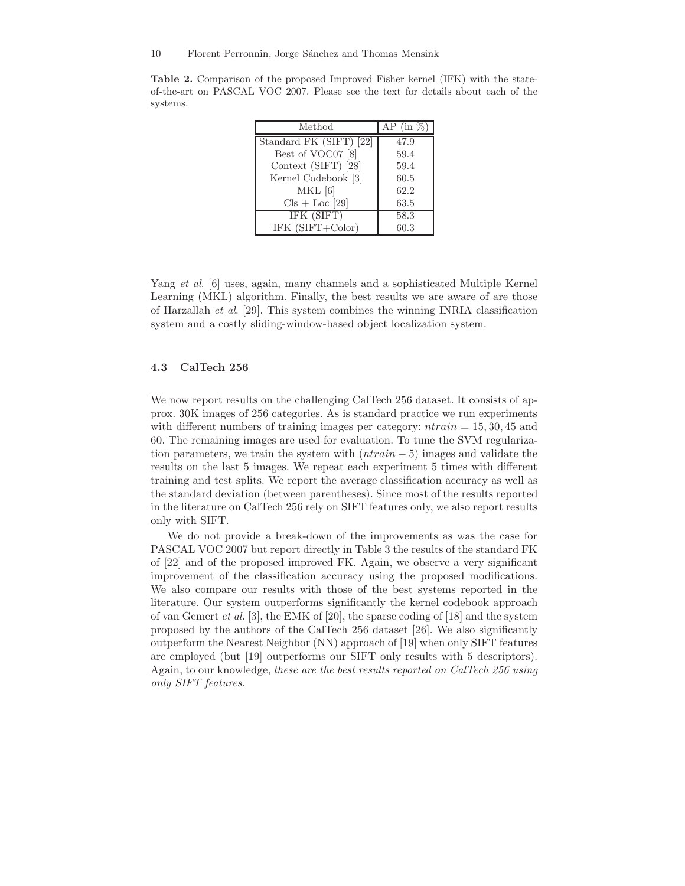Table 2. Comparison of the proposed Improved Fisher kernel (IFK) with the stateof-the-art on PASCAL VOC 2007. Please see the text for details about each of the systems.

| Method                  | $AP$ (in $\%$ ) |
|-------------------------|-----------------|
| Standard FK (SIFT) [22] | 47.9            |
| Best of VOC07 [8]       | 59.4            |
| Context (SIFT) [28]     | 59.4            |
| Kernel Codebook [3]     | 60.5            |
| $MKL$ [6]               | 62.2            |
| $Cls + Loc [29]$        | 63.5            |
| IFK (SIFT)              | 58.3            |
| IFK (SIFT+Color)        | 60.3            |

Yang et al. [6] uses, again, many channels and a sophisticated Multiple Kernel Learning (MKL) algorithm. Finally, the best results we are aware of are those of Harzallah et al. [29]. This system combines the winning INRIA classification system and a costly sliding-window-based object localization system.

### 4.3 CalTech 256

We now report results on the challenging CalTech 256 dataset. It consists of approx. 30K images of 256 categories. As is standard practice we run experiments with different numbers of training images per category:  $ntrain = 15, 30, 45$  and 60. The remaining images are used for evaluation. To tune the SVM regularization parameters, we train the system with  $(ntrain - 5)$  images and validate the results on the last 5 images. We repeat each experiment 5 times with different training and test splits. We report the average classification accuracy as well as the standard deviation (between parentheses). Since most of the results reported in the literature on CalTech 256 rely on SIFT features only, we also report results only with SIFT.

We do not provide a break-down of the improvements as was the case for PASCAL VOC 2007 but report directly in Table 3 the results of the standard FK of [22] and of the proposed improved FK. Again, we observe a very significant improvement of the classification accuracy using the proposed modifications. We also compare our results with those of the best systems reported in the literature. Our system outperforms significantly the kernel codebook approach of van Gemert *et al.* [3], the EMK of [20], the sparse coding of [18] and the system proposed by the authors of the CalTech 256 dataset [26]. We also significantly outperform the Nearest Neighbor (NN) approach of [19] when only SIFT features are employed (but [19] outperforms our SIFT only results with 5 descriptors). Again, to our knowledge, these are the best results reported on CalTech 256 using only SIFT features.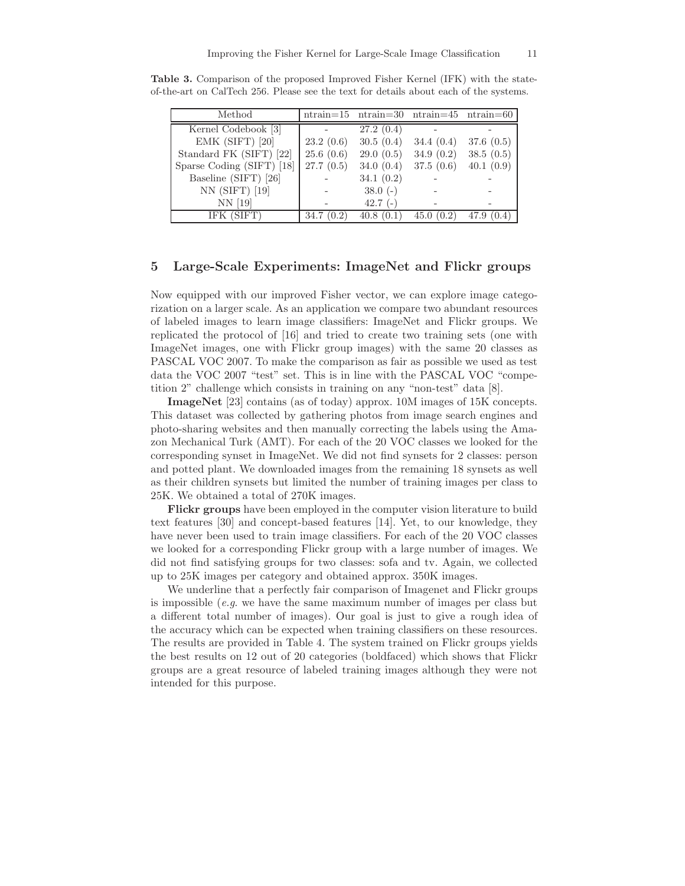| Method                    |               | $ntrain=15$ $ntrain=30$ $ntrain=45$ $ntrain=60$ |           |              |
|---------------------------|---------------|-------------------------------------------------|-----------|--------------|
| Kernel Codebook [3]       |               | 27.2(0.4)                                       |           |              |
| EMK (SIFT) [20]           | 23.2(0.6)     | 30.5(0.4)                                       | 34.4(0.4) | 37.6 $(0.5)$ |
| Standard FK (SIFT) [22]   | 25.6(0.6)     | 29.0(0.5)                                       | 34.9(0.2) | 38.5(0.5)    |
| Sparse Coding (SIFT) [18] | 27.7(0.5)     | 34.0 $(0.4)$                                    | 37.5(0.6) | 40.1(0.9)    |
| Baseline (SIFT) [26]      |               | 34.1 $(0.2)$                                    |           |              |
| NN (SIFT) [19]            |               | $38.0(-)$                                       |           |              |
| NN [19]                   |               | $42.7$ (-)                                      |           |              |
| IFK (SIFT)                | (0.2)<br>34.7 | 40.8                                            | 45.0      | 47.9         |

Table 3. Comparison of the proposed Improved Fisher Kernel (IFK) with the stateof-the-art on CalTech 256. Please see the text for details about each of the systems.

## 5 Large-Scale Experiments: ImageNet and Flickr groups

Now equipped with our improved Fisher vector, we can explore image categorization on a larger scale. As an application we compare two abundant resources of labeled images to learn image classifiers: ImageNet and Flickr groups. We replicated the protocol of [16] and tried to create two training sets (one with ImageNet images, one with Flickr group images) with the same 20 classes as PASCAL VOC 2007. To make the comparison as fair as possible we used as test data the VOC 2007 "test" set. This is in line with the PASCAL VOC "competition 2" challenge which consists in training on any "non-test" data [8].

ImageNet [23] contains (as of today) approx. 10M images of 15K concepts. This dataset was collected by gathering photos from image search engines and photo-sharing websites and then manually correcting the labels using the Amazon Mechanical Turk (AMT). For each of the 20 VOC classes we looked for the corresponding synset in ImageNet. We did not find synsets for 2 classes: person and potted plant. We downloaded images from the remaining 18 synsets as well as their children synsets but limited the number of training images per class to 25K. We obtained a total of 270K images.

Flickr groups have been employed in the computer vision literature to build text features [30] and concept-based features [14]. Yet, to our knowledge, they have never been used to train image classifiers. For each of the 20 VOC classes we looked for a corresponding Flickr group with a large number of images. We did not find satisfying groups for two classes: sofa and tv. Again, we collected up to 25K images per category and obtained approx. 350K images.

We underline that a perfectly fair comparison of Imagenet and Flickr groups is impossible  $(e.g.$  we have the same maximum number of images per class but a different total number of images). Our goal is just to give a rough idea of the accuracy which can be expected when training classifiers on these resources. The results are provided in Table 4. The system trained on Flickr groups yields the best results on 12 out of 20 categories (boldfaced) which shows that Flickr groups are a great resource of labeled training images although they were not intended for this purpose.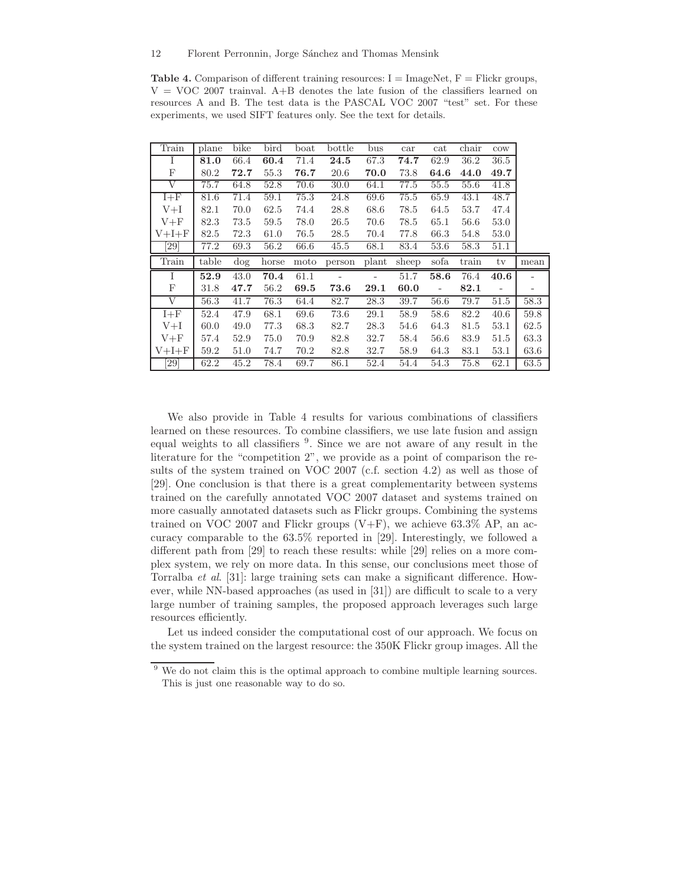| <b>Table 4.</b> Comparison of different training resources: $I = ImageNet, F = Flickr$ groups, |
|------------------------------------------------------------------------------------------------|
| $V = VOC$ 2007 trainval. A+B denotes the late fusion of the classifiers learned on             |
| resources A and B. The test data is the PASCAL VOC 2007 "test" set. For these                  |
| experiments, we used SIFT features only. See the text for details.                             |

| Train                   | plane | bike   | bird  | boat | bottle | bus   | car   | cat                      | chair | $_{\text{cow}}$          |      |
|-------------------------|-------|--------|-------|------|--------|-------|-------|--------------------------|-------|--------------------------|------|
| Ι                       | 81.0  | 66.4   | 60.4  | 71.4 | 24.5   | 67.3  | 74.7  | 62.9                     | 36.2  | 36.5                     |      |
| F                       | 80.2  | 72.7   | 55.3  | 76.7 | 20.6   | 70.0  | 73.8  | 64.6                     | 44.0  | 49.7                     |      |
| $\overline{\mathrm{V}}$ | 75.7  | 64.8   | 52.8  | 70.6 | 30.0   | 64.1  | 77.5  | 55.5                     | 55.6  | 41.8                     |      |
| $I + F$                 | 81.6  | 71.4   | 59.1  | 75.3 | 24.8   | 69.6  | 75.5  | 65.9                     | 43.1  | 48.7                     |      |
| $V+I$                   | 82.1  | 70.0   | 62.5  | 74.4 | 28.8   | 68.6  | 78.5  | 64.5                     | 53.7  | 47.4                     |      |
| $V + F$                 | 82.3  | 73.5   | 59.5  | 78.0 | 26.5   | 70.6  | 78.5  | 65.1                     | 56.6  | 53.0                     |      |
| $V+I+F$                 | 82.5  | 72.3   | 61.0  | 76.5 | 28.5   | 70.4  | 77.8  | 66.3                     | 54.8  | 53.0                     |      |
| $\overline{29}$         | 77.2  | 69.3   | 56.2  | 66.6 | 45.5   | 68.1  | 83.4  | 53.6                     | 58.3  | 51.1                     |      |
|                         |       |        |       |      |        |       |       |                          |       |                          |      |
| Train                   | table | $\log$ | horse | moto | person | plant | sheep | sofa                     | train | tv                       | mean |
| L                       | 52.9  | 43.0   | 70.4  | 61.1 |        |       | 51.7  | 58.6                     | 76.4  | 40.6                     |      |
| F                       | 31.8  | 47.7   | 56.2  | 69.5 | 73.6   | 29.1  | 60.0  | $\overline{\phantom{a}}$ | 82.1  | $\overline{\phantom{a}}$ |      |
| V                       | 56.3  | 41.7   | 76.3  | 64.4 | 82.7   | 28.3  | 39.7  | 56.6                     | 79.7  | 51.5                     | 58.3 |
| $I + F$                 | 52.4  | 47.9   | 68.1  | 69.6 | 73.6   | 29.1  | 58.9  | 58.6                     | 82.2  | 40.6                     | 59.8 |
| $V+I$                   | 60.0  | 49.0   | 77.3  | 68.3 | 82.7   | 28.3  | 54.6  | 64.3                     | 81.5  | 53.1                     | 62.5 |
| $V + F$                 | 57.4  | 52.9   | 75.0  | 70.9 | 82.8   | 32.7  | 58.4  | 56.6                     | 83.9  | 51.5                     | 63.3 |
| $V+I+F$                 | 59.2  | 51.0   | 74.7  | 70.2 | 82.8   | 32.7  | 58.9  | 64.3                     | 83.1  | 53.1                     | 63.6 |

We also provide in Table 4 results for various combinations of classifiers learned on these resources. To combine classifiers, we use late fusion and assign equal weights to all classifiers <sup>9</sup>. Since we are not aware of any result in the literature for the "competition 2", we provide as a point of comparison the results of the system trained on VOC 2007 (c.f. section 4.2) as well as those of [29]. One conclusion is that there is a great complementarity between systems trained on the carefully annotated VOC 2007 dataset and systems trained on more casually annotated datasets such as Flickr groups. Combining the systems trained on VOC 2007 and Flickr groups  $(V+F)$ , we achieve 63.3% AP, an accuracy comparable to the 63.5% reported in [29]. Interestingly, we followed a different path from [29] to reach these results: while [29] relies on a more complex system, we rely on more data. In this sense, our conclusions meet those of Torralba et al. [31]: large training sets can make a significant difference. However, while NN-based approaches (as used in [31]) are difficult to scale to a very large number of training samples, the proposed approach leverages such large resources efficiently.

Let us indeed consider the computational cost of our approach. We focus on the system trained on the largest resource: the 350K Flickr group images. All the

<sup>&</sup>lt;sup>9</sup> We do not claim this is the optimal approach to combine multiple learning sources. This is just one reasonable way to do so.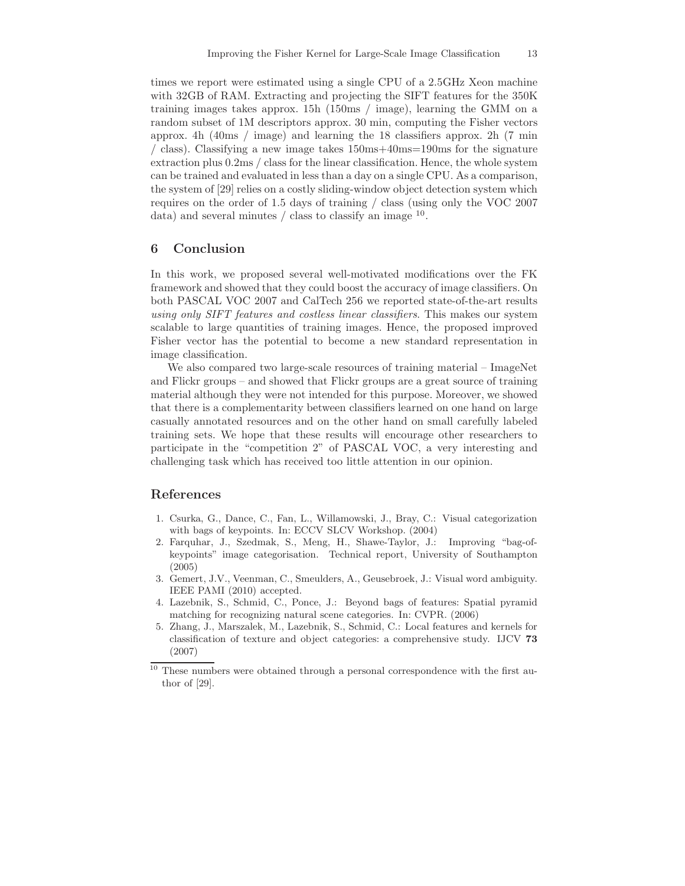times we report were estimated using a single CPU of a 2.5GHz Xeon machine with 32GB of RAM. Extracting and projecting the SIFT features for the 350K training images takes approx. 15h (150ms / image), learning the GMM on a random subset of 1M descriptors approx. 30 min, computing the Fisher vectors approx. 4h (40ms / image) and learning the 18 classifiers approx. 2h (7 min / class). Classifying a new image takes 150ms+40ms=190ms for the signature extraction plus 0.2ms / class for the linear classification. Hence, the whole system can be trained and evaluated in less than a day on a single CPU. As a comparison, the system of [29] relies on a costly sliding-window object detection system which requires on the order of 1.5 days of training / class (using only the VOC 2007 data) and several minutes  $/$  class to classify an image  $^{10}$ .

# 6 Conclusion

In this work, we proposed several well-motivated modifications over the FK framework and showed that they could boost the accuracy of image classifiers. On both PASCAL VOC 2007 and CalTech 256 we reported state-of-the-art results using only SIFT features and costless linear classifiers. This makes our system scalable to large quantities of training images. Hence, the proposed improved Fisher vector has the potential to become a new standard representation in image classification.

We also compared two large-scale resources of training material – ImageNet and Flickr groups – and showed that Flickr groups are a great source of training material although they were not intended for this purpose. Moreover, we showed that there is a complementarity between classifiers learned on one hand on large casually annotated resources and on the other hand on small carefully labeled training sets. We hope that these results will encourage other researchers to participate in the "competition 2" of PASCAL VOC, a very interesting and challenging task which has received too little attention in our opinion.

### References

- 1. Csurka, G., Dance, C., Fan, L., Willamowski, J., Bray, C.: Visual categorization with bags of keypoints. In: ECCV SLCV Workshop. (2004)
- 2. Farquhar, J., Szedmak, S., Meng, H., Shawe-Taylor, J.: Improving "bag-ofkeypoints" image categorisation. Technical report, University of Southampton (2005)
- 3. Gemert, J.V., Veenman, C., Smeulders, A., Geusebroek, J.: Visual word ambiguity. IEEE PAMI (2010) accepted.
- 4. Lazebnik, S., Schmid, C., Ponce, J.: Beyond bags of features: Spatial pyramid matching for recognizing natural scene categories. In: CVPR. (2006)
- 5. Zhang, J., Marszalek, M., Lazebnik, S., Schmid, C.: Local features and kernels for classification of texture and object categories: a comprehensive study. IJCV 73 (2007)

 $^{10}$  These numbers were obtained through a personal correspondence with the first author of [29].